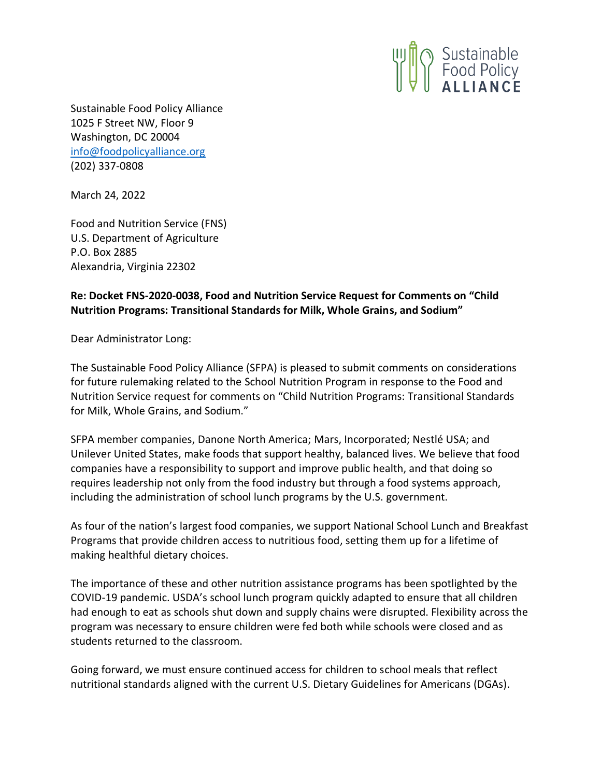

Sustainable Food Policy Alliance 1025 F Street NW, Floor 9 Washington, DC 20004 [info@foodpolicyalliance.org](mailto:info@foodpolicyalliance.org) (202) 337-0808

March 24, 2022

Food and Nutrition Service (FNS) U.S. Department of Agriculture P.O. Box 2885 Alexandria, Virginia 22302

## **Re: Docket FNS-2020-0038, Food and Nutrition Service Request for Comments on "Child Nutrition Programs: Transitional Standards for Milk, Whole Grains, and Sodium"**

Dear Administrator Long:

The Sustainable Food Policy Alliance (SFPA) is pleased to submit comments on considerations for future rulemaking related to the School Nutrition Program in response to the Food and Nutrition Service request for comments on "Child Nutrition Programs: Transitional Standards for Milk, Whole Grains, and Sodium."

SFPA member companies, Danone North America; Mars, Incorporated; Nestlé USA; and Unilever United States, make foods that support healthy, balanced lives. We believe that food companies have a responsibility to support and improve public health, and that doing so requires leadership not only from the food industry but through a food systems approach, including the administration of school lunch programs by the U.S. government.

As four of the nation's largest food companies, we support National School Lunch and Breakfast Programs that provide children access to nutritious food, setting them up for a lifetime of making healthful dietary choices.

The importance of these and other nutrition assistance programs has been spotlighted by the COVID-19 pandemic. USDA's school lunch program quickly adapted to ensure that all children had enough to eat as schools shut down and supply chains were disrupted. Flexibility across the program was necessary to ensure children were fed both while schools were closed and as students returned to the classroom.

Going forward, we must ensure continued access for children to school meals that reflect nutritional standards aligned with the current U.S. Dietary Guidelines for Americans (DGAs).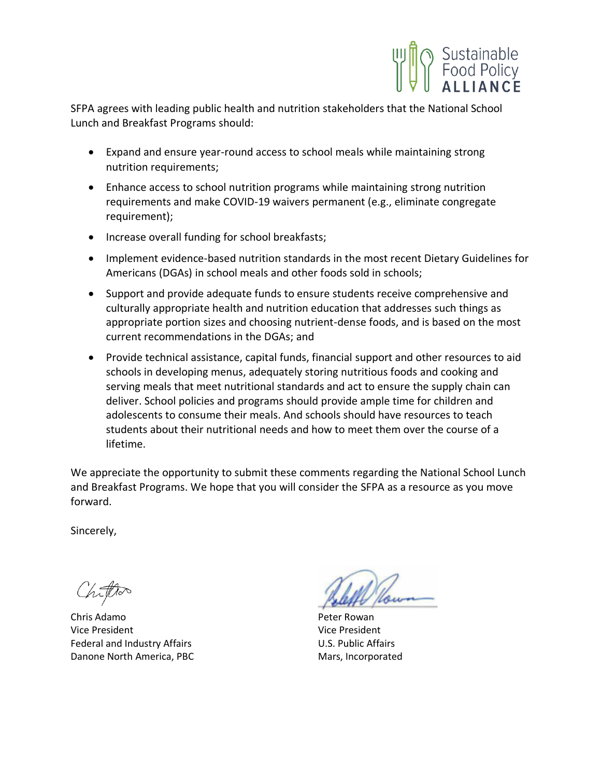

SFPA agrees with leading public health and nutrition stakeholders that the National School Lunch and Breakfast Programs should:

- Expand and ensure year-round access to school meals while maintaining strong nutrition requirements;
- Enhance access to school nutrition programs while maintaining strong nutrition requirements and make COVID-19 waivers permanent (e.g., eliminate congregate requirement);
- Increase overall funding for school breakfasts;
- Implement evidence-based nutrition standards in the most recent Dietary Guidelines for Americans (DGAs) in school meals and other foods sold in schools;
- Support and provide adequate funds to ensure students receive comprehensive and culturally appropriate health and nutrition education that addresses such things as appropriate portion sizes and choosing nutrient-dense foods, and is based on the most current recommendations in the DGAs; and
- Provide technical assistance, capital funds, financial support and other resources to aid schools in developing menus, adequately storing nutritious foods and cooking and serving meals that meet nutritional standards and act to ensure the supply chain can deliver. School policies and programs should provide ample time for children and adolescents to consume their meals. And schools should have resources to teach students about their nutritional needs and how to meet them over the course of a lifetime.

We appreciate the opportunity to submit these comments regarding the National School Lunch and Breakfast Programs. We hope that you will consider the SFPA as a resource as you move forward.

Sincerely,

Chris Adamo **Peter Rowan** Vice President Vice President Federal and Industry Affairs **Example 20 Industry Affairs** U.S. Public Affairs Danone North America, PBC Mars, Incorporated